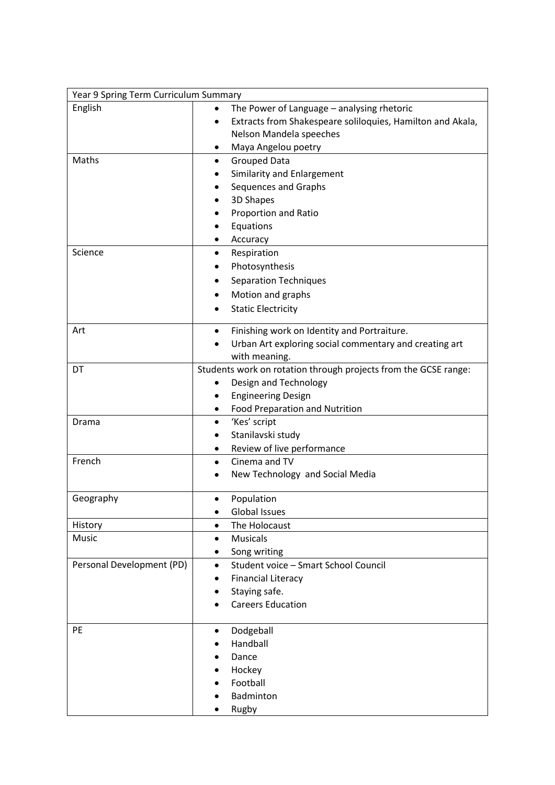| Year 9 Spring Term Curriculum Summary |                                                                 |  |
|---------------------------------------|-----------------------------------------------------------------|--|
| English                               | The Power of Language - analysing rhetoric                      |  |
|                                       | Extracts from Shakespeare soliloquies, Hamilton and Akala,      |  |
|                                       | Nelson Mandela speeches                                         |  |
|                                       | Maya Angelou poetry<br>٠                                        |  |
| Maths                                 | <b>Grouped Data</b><br>٠                                        |  |
|                                       | Similarity and Enlargement                                      |  |
|                                       | Sequences and Graphs                                            |  |
|                                       | 3D Shapes                                                       |  |
|                                       | Proportion and Ratio                                            |  |
|                                       | Equations                                                       |  |
|                                       | Accuracy                                                        |  |
| Science                               | Respiration                                                     |  |
|                                       | Photosynthesis                                                  |  |
|                                       | <b>Separation Techniques</b>                                    |  |
|                                       | Motion and graphs                                               |  |
|                                       | <b>Static Electricity</b>                                       |  |
| Art                                   | Finishing work on Identity and Portraiture.<br>$\bullet$        |  |
|                                       | Urban Art exploring social commentary and creating art          |  |
|                                       | with meaning.                                                   |  |
| DT                                    | Students work on rotation through projects from the GCSE range: |  |
|                                       | Design and Technology<br>٠                                      |  |
|                                       | <b>Engineering Design</b>                                       |  |
|                                       | <b>Food Preparation and Nutrition</b><br>$\bullet$              |  |
| Drama                                 | 'Kes' script<br>$\bullet$                                       |  |
|                                       | Stanilavski study                                               |  |
|                                       | Review of live performance<br>٠                                 |  |
| French                                | Cinema and TV<br>$\bullet$                                      |  |
|                                       | New Technology and Social Media                                 |  |
| Geography                             | Population<br>$\bullet$                                         |  |
|                                       | <b>Global Issues</b><br>$\bullet$                               |  |
| History                               | The Holocaust<br>$\bullet$                                      |  |
| Music                                 | <b>Musicals</b><br>$\bullet$                                    |  |
|                                       | Song writing<br>٠                                               |  |
| Personal Development (PD)             | Student voice - Smart School Council<br>$\bullet$               |  |
|                                       | <b>Financial Literacy</b>                                       |  |
|                                       | Staying safe.                                                   |  |
|                                       | <b>Careers Education</b>                                        |  |
| PE                                    | Dodgeball<br>٠                                                  |  |
|                                       | Handball                                                        |  |
|                                       | Dance                                                           |  |
|                                       | Hockey                                                          |  |
|                                       | Football                                                        |  |
|                                       | Badminton                                                       |  |
|                                       | Rugby                                                           |  |